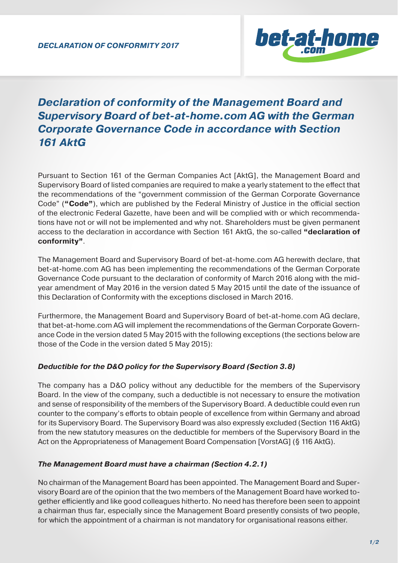

# *Declaration of conformity of the Management Board and Supervisory Board of bet-at-home.com AG with the German Corporate Governance Code in accordance with Section 161 AktG*

Pursuant to Section 161 of the German Companies Act [AktG], the Management Board and Supervisory Board of listed companies are required to make a yearly statement to the effect that the recommendations of the "government commission of the German Corporate Governance Code" ("Code"), which are published by the Federal Ministry of Justice in the official section of the electronic Federal Gazette, have been and will be complied with or which recommendations have not or will not be implemented and why not. Shareholders must be given permanent access to the declaration in accordance with Section 161 AktG, the so-called **"declaration of conformity"**.

The Management Board and Supervisory Board of bet-at-home.com AG herewith declare, that bet-at-home.com AG has been implementing the recommendations of the German Corporate Governance Code pursuant to the declaration of conformity of March 2016 along with the midyear amendment of May 2016 in the version dated 5 May 2015 until the date of the issuance of this Declaration of Conformity with the exceptions disclosed in March 2016.

Furthermore, the Management Board and Supervisory Board of bet-at-home.com AG declare, that bet-at-home.com AG will implement the recommendations of the German Corporate Governance Code in the version dated 5 May 2015 with the following exceptions (the sections below are those of the Code in the version dated 5 May 2015):

# *Deductible for the D&O policy for the Supervisory Board (Section 3.8)*

The company has a D&O policy without any deductible for the members of the Supervisory Board. In the view of the company, such a deductible is not necessary to ensure the motivation and sense of responsibility of the members of the Supervisory Board. A deductible could even run counter to the company's efforts to obtain people of excellence from within Germany and abroad for its Supervisory Board. The Supervisory Board was also expressly excluded (Section 116 AktG) from the new statutory measures on the deductible for members of the Supervisory Board in the Act on the Appropriateness of Management Board Compensation [VorstAG] (§ 116 AktG).

# *The Management Board must have a chairman (Section 4.2.1)*

No chairman of the Management Board has been appointed. The Management Board and Supervisory Board are of the opinion that the two members of the Management Board have worked together efficiently and like good colleagues hitherto. No need has therefore been seen to appoint a chairman thus far, especially since the Management Board presently consists of two people, for which the appointment of a chairman is not mandatory for organisational reasons either.